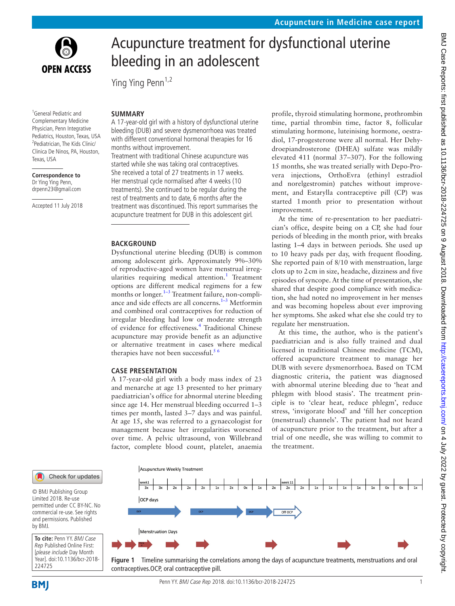

regulate her menstruation. At this time, the author, who is the patient's



improvement. At the time of re-presentation to her paediatrician's office, despite being on a CP, she had four periods of bleeding in the month prior, with breaks lasting 1–4 days in between periods. She used up to 10 heavy pads per day, with frequent flooding. She reported pain of 8/10 with menstruation, large clots up to 2cm in size, headache, dizziness and five episodes of syncope. At the time of presentation, she shared that despite good compliance with medication, she had noted no improvement in her menses and was becoming hopeless about ever improving her symptoms. She asked what else she could try to

paediatrician and is also fully trained and dual licensed in traditional Chinese medicine (TCM), offered acupuncture treatment to manage her DUB with severe dysmenorrhoea. Based on TCM diagnostic criteria, the patient was diagnosed with abnormal uterine bleeding due to 'heat and phlegm with blood stasis'. The treatment principle is to 'clear heat, reduce phlegm', reduce stress, 'invigorate blood' and 'fill her conception (menstrual) channels'. The patient had not heard of acupuncture prior to the treatment, but after a trial of one needle, she was willing to commit to the treatment.



<span id="page-0-0"></span>**Figure 1** Timeline summarising the correlations among the days of acupuncture treatments, menstruations and oral contraceptives.OCP, oral contraceptive pill.



<sup>1</sup>General Pediatric and Complementary Medicine Physician, Penn Integrative Pediatrics, Houston, Texas, USA <sup>2</sup>Pediatrician, The Kids Clinic/ Clinica De Ninos, PA, Houston, Texas, USA

**Correspondence to** Dr Ying Ying Penn, drpenn23@gmail.com

Accepted 11 July 2018

## **BACKGROUND**

Ying Ying Penn<sup>1,2</sup>

months without improvement.

**Summary**

Dysfunctional uterine bleeding (DUB) is common among adolescent girls. Approximately 9%–30% of reproductive-aged women have menstrual irreg-ularities requiring medical attention.<sup>[1](#page-3-0)</sup> Treatment options are different medical regimens for a few months or longer. $1-3$  Treatment failure, non-compliance and side effects are all concerns.<sup> $1-3$ </sup> Metformin and combined oral contraceptives for reduction of irregular bleeding had low or moderate strength of evidence for effectiveness.<sup>[4](#page-3-1)</sup> Traditional Chinese acupuncture may provide benefit as an adjunctive or alternative treatment in cases where medical therapies have not been successful. $5<sup>6</sup>$ 

bleeding in an adolescent

A 17-year-old girl with a history of dysfunctional uterine bleeding (DUB) and severe dysmenorrhoea was treated with different conventional hormonal therapies for 16

Treatment with traditional Chinese acupuncture was started while she was taking oral contraceptives. She received a total of 27 treatments in 17 weeks. Her menstrual cycle normalised after 4 weeks (10 treatments). She continued to be regular during the rest of treatments and to date, 6 months after the treatment was discontinued. This report summarises the acupuncture treatment for DUB in this adolescent girl.

#### **Case presentation**

A 17-year-old girl with a body mass index of 23 and menarche at age 13 presented to her primary paediatrician's office for abnormal uterine bleeding since age 14. Her menstrual bleeding occurred 1–3 times per month, lasted 3–7 days and was painful. At age 15, she was referred to a gynaecologist for management because her irregularities worsened over time. A pelvic ultrasound, von Willebrand factor, complete blood count, platelet, anaemia

**To cite:** Penn YY. BMJ Case Limited 2018. Re-use permitted under CC BY-NC. No commercial re-use. See rights and permissions. Published by BMJ.

© BMJ Publishing Group

Check for updates

Rep Published Online First: [please include Day Month Year]. doi:10.1136/bcr-2018- 224725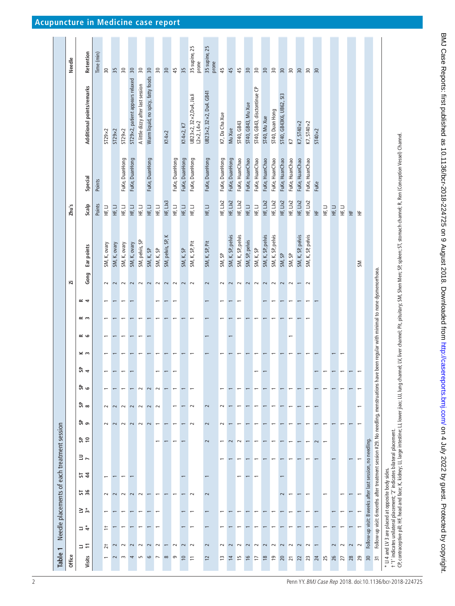<span id="page-1-0"></span>

| Table           | $\overline{\phantom{0}}$ |           | Needle placements of each treatment session                                                                                             |          |                |                         |                          |                         |        |    |          |                          |             |             |                          |                                                                                                                                                                                                                |                                                    |                |                                                        |                        |
|-----------------|--------------------------|-----------|-----------------------------------------------------------------------------------------------------------------------------------------|----------|----------------|-------------------------|--------------------------|-------------------------|--------|----|----------|--------------------------|-------------|-------------|--------------------------|----------------------------------------------------------------------------------------------------------------------------------------------------------------------------------------------------------------|----------------------------------------------------|----------------|--------------------------------------------------------|------------------------|
| Office          |                          |           |                                                                                                                                         |          |                |                         |                          |                         |        |    |          |                          |             |             | ä                        |                                                                                                                                                                                                                | Zhu's                                              |                |                                                        | Needle                 |
| Visits          | コロ                       | $\vec{z}$ | ≧ ∾ี                                                                                                                                    | 54<br>36 | $\overline{a}$ | ೫ ಕ                     | င္တြဲ ၅                  | ದಿ ∞                    | ಕಿ ಂ   | 5a | $\leq m$ | ت ≥                      | $\approx$ m | $\approx$ 4 | Gong                     | Ear points                                                                                                                                                                                                     | Scalp                                              | Special        | Additional points/remarks                              | Retention              |
|                 |                          |           |                                                                                                                                         |          |                |                         |                          |                         |        |    |          |                          |             |             |                          |                                                                                                                                                                                                                | Points                                             | Points         |                                                        | Time (min)             |
|                 |                          | ≒         |                                                                                                                                         |          |                |                         | $\sim$                   | $\sim$                  |        |    |          |                          |             |             | $\sim$                   | SM, K, ovary                                                                                                                                                                                                   | 口半                                                 |                | ST29×2                                                 | $\sqrt{30}$            |
|                 |                          |           |                                                                                                                                         |          |                |                         | $\sim$                   | $\sim$                  |        |    |          |                          |             |             | $\sim$                   | SM, K, ovary                                                                                                                                                                                                   | 口<br>王                                             |                | ST29x2                                                 | 35                     |
| $\sim$          | $\sim$                   |           |                                                                                                                                         | $\sim$   |                |                         | $\sim$                   | $\sim$                  |        |    |          |                          |             |             | $\sim$                   | SM, K, ovary                                                                                                                                                                                                   | 二王                                                 | FuKe, DuanHong | $ST29\times2$                                          | $\frac{1}{20}$         |
| 4               | $\sim$                   |           |                                                                                                                                         | $\sim$   |                |                         | $\sim$                   | $\sim$                  |        |    |          |                          |             |             | $\sim$                   | SM, K, ovary                                                                                                                                                                                                   | 口<br>王                                             | FuKe, DuanHong | ST29×2, patient appears relaxed                        | 30                     |
| S               | $\sim$                   |           |                                                                                                                                         | $\sim$   |                |                         | $\sim$                   | $\sim$                  | $\sim$ |    |          | $\overline{\phantom{0}}$ |             |             | $\sim$                   | SM, pelvis, SP                                                                                                                                                                                                 | 二王                                                 |                | A little dizzy after last session                      | $\overline{50}$        |
| 6               | $\overline{\mathbf{c}}$  |           |                                                                                                                                         |          |                |                         | $\overline{\mathcal{C}}$ | $\overline{\mathbf{c}}$ | $\sim$ |    |          |                          |             |             | $\sim$                   | SM, K, SP                                                                                                                                                                                                      | HF, LJ                                             | FuKe, DuanHong | Warm liquid, no spicy, fatty foods                     | 30                     |
| $\overline{ }$  | $\sim$                   |           |                                                                                                                                         |          |                |                         |                          | $\sim$                  | $\sim$ |    |          |                          |             |             | $\sim$                   | SM, K, SP                                                                                                                                                                                                      | 三王                                                 |                |                                                        | 30                     |
| $\infty$        |                          |           |                                                                                                                                         |          |                |                         |                          |                         |        |    |          |                          |             |             | $\sim$                   | SM, pelvis, SP, K                                                                                                                                                                                              | HF, LJx3                                           |                | $K14\times2$                                           | 30                     |
| $\sigma$        | $\sim$                   |           |                                                                                                                                         |          |                |                         |                          |                         |        |    |          |                          |             |             | $\sim$                   |                                                                                                                                                                                                                | 己王                                                 | FuKe, DuanHong |                                                        | 45                     |
| $\overline{0}$  | $\sim$                   |           |                                                                                                                                         |          |                |                         |                          |                         |        |    |          |                          |             |             | $\sim$                   | SM, K, SP                                                                                                                                                                                                      | HF, LJ                                             | FuKe, DuanHong | K14×2, K7                                              | 35                     |
| $\overline{1}$  | $\sim$                   |           |                                                                                                                                         | $\sim$   |                |                         | $\sim$                   | $\sim$                  |        |    |          |                          |             |             | $\sim$                   | SM, K, SP, Pit                                                                                                                                                                                                 | HF, LJ                                             | FuKe, DuanHong | UB23×2, 32×2, Du4, JiaJi<br>$L2 \times 2, L4 \times 2$ | 35 supine, 25<br>prone |
| $\overline{2}$  | $\sim$                   |           |                                                                                                                                         | $\sim$   |                | $\sim$                  | $\sim$                   | $\sim$                  |        |    |          |                          |             |             | $\sim$                   | SM, K, SP, Pit                                                                                                                                                                                                 | HE LJ                                              | FuKe, DuanHong | UB23×2, 32×2, Du4. GB41                                | 35 supine, 25<br>prone |
| 13              | $\sim$                   |           |                                                                                                                                         |          |                |                         | $\sim$                   | $\sim$                  |        |    |          |                          |             |             | $\sim$                   | SM, SP                                                                                                                                                                                                         | HF, LIx2                                           | FuKe, DuanHong | K7, Da Cha Xue                                         | 45                     |
| 14              | $\sim$                   |           |                                                                                                                                         |          |                | $\sim$                  |                          |                         |        |    |          |                          |             |             | $\sim$                   | SM, K, SP, pelvis                                                                                                                                                                                              | HF, LJx2                                           | FuKe, DuanHong | Mu Xue                                                 | 45                     |
| مبر             | $\sim$                   |           |                                                                                                                                         |          |                | $\sim$                  |                          |                         |        |    |          |                          |             |             | $\sim$                   | SM, K, SP, pelvis                                                                                                                                                                                              | HF, LJx2                                           | FuKe, HuanChao | ST40, GB43                                             | 45                     |
| $\frac{6}{2}$   | $\sim$                   |           |                                                                                                                                         |          |                |                         |                          |                         |        |    |          |                          |             |             | $\sim$                   | SM, SP, pelvis                                                                                                                                                                                                 | $\frac{1}{2}$                                      | FuKe, HuanChao | ST40, GB43, Mu Xue                                     | 30                     |
| 17              | $\sim$                   |           |                                                                                                                                         |          |                |                         |                          |                         |        |    |          |                          |             |             | $\sim$                   | SM, K, SP                                                                                                                                                                                                      | $\begin{array}{c}\n\sqcup \\ \exists\n\end{array}$ | FuKe, HuanChao | ST40, GB43, disctontinue CP                            | $\frac{8}{30}$         |
| $\frac{8}{2}$   | $\sim$                   |           |                                                                                                                                         |          |                |                         |                          |                         |        |    |          |                          |             |             | $\sim$                   | SM, K, SP, pelvis                                                                                                                                                                                              | HF, LIX2                                           | FuKe, HuanChao | ST40, Mu Xue                                           | 50                     |
| $\overline{19}$ | $\sim$                   |           |                                                                                                                                         |          |                |                         |                          |                         |        |    |          |                          |             |             | $\sim$                   | SM, K, SP, pelvis                                                                                                                                                                                              | HF, LJx2                                           | FuKe, HuanChao | ST40, Duan Hong                                        | 30                     |
| 20              | 2                        |           |                                                                                                                                         |          |                |                         |                          |                         |        |    |          |                          |             |             | $\sim$                   | SM, SP                                                                                                                                                                                                         | HF, LIX2                                           | FuKe, HuanChao | ST40, GB43K6, UB62, SI3                                | 50                     |
| $\overline{2}1$ | $\sim$                   |           |                                                                                                                                         |          |                |                         |                          |                         |        |    |          | $\overline{\phantom{0}}$ |             |             | $\sim$                   | SM, SP                                                                                                                                                                                                         | HF, LIX2                                           | FuKe, HuanChao | Ŋ                                                      | 50                     |
| $\overline{2}$  | $\sim$                   |           |                                                                                                                                         |          |                |                         |                          |                         |        |    |          |                          |             |             | $\overline{\phantom{0}}$ | SM, K, SP, pelvis                                                                                                                                                                                              | HF, LIX2                                           | FuKe, HuanChao | K7, ST40×2                                             | 50                     |
| 23              | $\sim$                   |           |                                                                                                                                         |          |                |                         |                          |                         |        |    |          |                          |             |             | $\sim$                   | SM, K, SP, pelvis                                                                                                                                                                                              | HF, LIX2                                           | FuKe, HuanChao | K7, ST40×2                                             | $30^{\circ}$           |
| 24              |                          |           |                                                                                                                                         |          |                | $\overline{\mathbf{c}}$ |                          |                         |        |    |          |                          |             |             |                          |                                                                                                                                                                                                                | 生                                                  | FuKe           | $ST40\times2$                                          | $\approx$              |
| 25              |                          |           |                                                                                                                                         |          |                |                         |                          |                         |        |    |          |                          |             |             |                          |                                                                                                                                                                                                                | 口<br>王                                             |                |                                                        |                        |
| 26              | $\sim$                   |           |                                                                                                                                         |          |                |                         |                          |                         |        |    |          |                          |             |             |                          |                                                                                                                                                                                                                | 三王                                                 |                |                                                        |                        |
| 27              | $\sim$                   |           |                                                                                                                                         |          |                |                         |                          |                         |        |    |          |                          |             |             |                          |                                                                                                                                                                                                                | 二壬                                                 |                |                                                        |                        |
| 28              | $\sim$                   |           |                                                                                                                                         |          |                |                         |                          |                         |        |    |          |                          |             |             |                          |                                                                                                                                                                                                                | $\pm$                                              |                |                                                        |                        |
| 29              | $\sim$                   |           |                                                                                                                                         |          |                |                         |                          | $\overline{ }$          |        |    |          |                          |             |             |                          | $\geqslant$                                                                                                                                                                                                    | 生                                                  |                |                                                        |                        |
| 30              |                          |           | Follow-up visit: 8 weeks after last session, no needling.                                                                               |          |                |                         |                          |                         |        |    |          |                          |             |             |                          |                                                                                                                                                                                                                |                                                    |                |                                                        |                        |
| $\overline{5}$  |                          |           | Follow-up visit: 6 months after treatment session #29. No needling, menstruations have been regular with minimal to none dysmenorrhoea. |          |                |                         |                          |                         |        |    |          |                          |             |             |                          |                                                                                                                                                                                                                |                                                    |                |                                                        |                        |
|                 |                          |           | t '1' indicates unilateral placement; '2' indicates bilateral placement.<br>* LI 4 and LV 3 are placed at opposite body sides.          |          |                |                         |                          |                         |        |    |          |                          |             |             |                          | CP, contraceptive pill; HF, head and face; K, kidney; LJ, large intestine; LJ, lower jiao; LJ, lung channel; Pit, pituitary; SM, Shen Men; SP, spleen; ST, stomach channel; R, Ren (Conception Vessel) Channel |                                                    |                |                                                        |                        |
|                 |                          |           |                                                                                                                                         |          |                |                         |                          |                         |        |    |          |                          |             |             |                          |                                                                                                                                                                                                                |                                                    |                |                                                        |                        |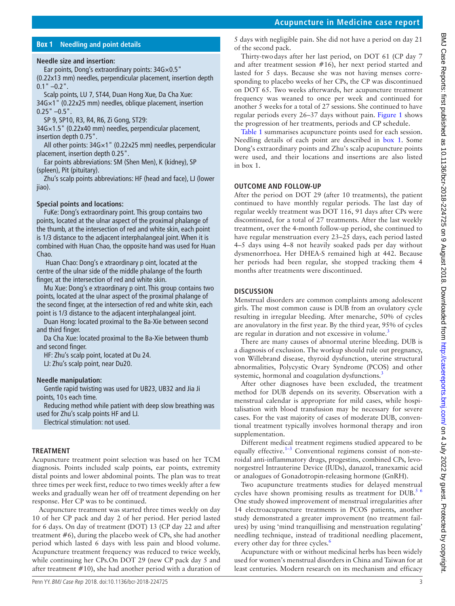## **Box 1 Needling and point details**

## <span id="page-2-0"></span>**Needle size and insertion:**

Ear points, Dong's extraordinary points: 34G×0.5" (0.22x13 mm) needles, perpendicular placement, insertion depth

 $0.1$ "  $-0.2$ ". Scalp points, LU 7, ST44, Duan Hong Xue, Da Cha Xue: 34G×1" (0.22x25 mm) needles, oblique placement, insertion  $0.25$ "  $-0.5$ ".

SP 9, SP10, R3, R4, R6, Zi Gong, ST29:

34G×1.5" (0.22x40 mm) needles, perpendicular placement, insertion depth 0.75".

All other points: 34G×1" (0.22x25 mm) needles, perpendicular placement, insertion depth 0.25".

Ear points abbreviations: SM (Shen Men), K (kidney), SP (spleen), Pit (pituitary).

Zhu's scalp points abbreviations: HF (head and face), LJ (lower jiao).

#### **Special points and locations:**

FuKe: Dong's extraordinary point. This group contains two points, located at the ulnar aspect of the proximal phalange of the thumb, at the intersection of red and white skin, each point is 1/3 distance to the adjacent interphalangeal joint. When it is combined with Huan Chao, the opposite hand was used for Huan Chao.

 Huan Chao: Dong's e xtraordinary p oint, located at the centre of the ulnar side of the middle phalange of the fourth finger, at the intersection of red and white skin.

Mu Xue: Dong's e xtraordinary p oint. This group contains two points, located at the ulnar aspect of the proximal phalange of the second finger, at the intersection of red and white skin, each point is 1/3 distance to the adjacent interphalangeal joint.

Duan Hong: located proximal to the Ba-Xie between second and third finger.

Da Cha Xue: located proximal to the Ba-Xie between thumb and second finger.

HF: Zhu's scalp point, located at Du 24. LJ: Zhu's scalp point, near Du20.

#### **Needle manipulation:**

Gentle rapid twisting was used for UB23, UB32 and Jia Ji points, 10 s each time.

Reducing method while patient with deep slow breathing was used for Zhu's scalp points HF and LJ.

Electrical stimulation: not used.

#### **Treatment**

Acupuncture treatment point selection was based on her TCM diagnosis. Points included scalp points, ear points, extremity distal points and lower abdominal points. The plan was to treat three times per week first, reduce to two times weekly after a few weeks and gradually wean her off of treatment depending on her response. Her CP was to be continued.

Acupuncture treatment was started three times weekly on day 10 of her CP pack and day 2 of her period. Her period lasted for 6 days. On day of treatment (DOT) 13 (CP day 22 and after treatment #6), during the placebo week of CPs, she had another period which lasted 6 days with less pain and blood volume. Acupuncture treatment frequency was reduced to twice weekly, while continuing her CPs.On DOT 29 (new CP pack day 5 and after treatment #10), she had another period with a duration of

Penn YY. BMJ Case Rep 2018. doi:10.1136/bcr-2018-224725 3

5 days with negligible pain. She did not have a period on day 21 of the second pack.

Thirty-twodays after her last period, on DOT 61 (CP day 7 and after treatment session #16), her next period started and lasted for 5 days. Because she was not having menses corresponding to placebo weeks of her CPs, the CP was discontinued on DOT 65. Two weeks afterwards, her acupuncture treatment frequency was weaned to once per week and continued for another 5 weeks for a total of 27 sessions. She continued to have regular periods every 26–37 days without pain. [Figure](#page-0-0) 1 shows the progression of her treatments, periods and CP schedule.

[Table](#page-1-0) 1 summarises acupuncture points used for each session. Needling details of each point are described in [box](#page-2-0) 1. Some Dong's extraordinary points and Zhu's scalp acupuncture points were used, and their locations and insertions are also listed in box 1.

## **Outcome and follow-up**

After the period on DOT 29 (after 10 treatments), the patient continued to have monthly regular periods. The last day of regular weekly treatment was DOT 116, 91 days after CPs were discontinued, for a total of 27 treatments. After the last weekly treatment, over the 4-month follow-up period, she continued to have regular menstruation every 23–25 days, each period lasted 4–5 days using 4–8 not heavily soaked pads per day without dysmenorrhoea. Her DHEA-S remained high at 442. Because her periods had been regular, she stopped tracking them 4 months after treatments were discontinued.

## **Discussion**

Menstrual disorders are common complaints among adolescent girls. The most common cause is DUB from an ovulatory cycle resulting in irregular bleeding. After menarche, 50% of cycles are anovulatory in the first year. By the third year, 95% of cycles are regular in duration and not excessive in volume.<sup>[3](#page-3-3)</sup>

There are many causes of abnormal uterine bleeding. DUB is a diagnosis of exclusion. The workup should rule out pregnancy, von Willebrand disease, thyroid dysfunction, uterine structural abnormalities, Polycystic Ovary Syndrome (PCOS) and other systemic, hormonal and coagulation dysfunctions.<sup>[3](#page-3-3)</sup>

After other diagnoses have been excluded, the treatment method for DUB depends on its severity. Observation with a menstrual calendar is appropriate for mild cases, while hospitalisation with blood transfusion may be necessary for severe cases. For the vast majority of cases of moderate DUB, conventional treatment typically involves hormonal therapy and iron supplementation.

Different medical treatment regimens studied appeared to be equally effective.<sup>1-3</sup> Conventional regimens consist of non-steroidal anti-inflammatory drugs, progestins, combined CPs, levonorgestrel Intrauterine Device (IUDs), danazol, tranexamic acid or analogues of Gonadotropin-releasing hormone (GnRH).

Two acupuncture treatments studies for delayed menstrual cycles have shown promising results as treatment for DUB.<sup>5 6</sup> One study showed improvement of menstrual irregularities after 14 electroacupuncture treatments in PCOS patients, another study demonstrated a greater improvement (no treatment failures) by using 'mind tranquillising and menstruation regulating' needling technique, instead of traditional needling placement, every other day for three cycles.<sup>[6](#page-3-4)</sup>

Acupuncture with or without medicinal herbs has been widely used for women's menstrual disorders in China and Taiwan for at least centuries. Modern research on its mechanism and efficacy